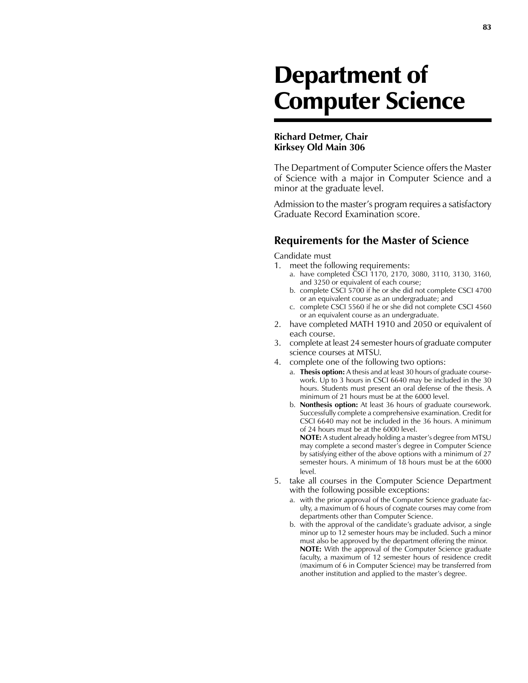## Department of Computer Science

## **Richard Detmer, Chair Kirksey Old Main 306**

The Department of Computer Science offers the Master of Science with a major in Computer Science and a minor at the graduate level.

Admission to the master's program requires a satisfactory Graduate Record Examination score.

## **Requirements for the Master of Science**

Candidate must

- 1. meet the following requirements:
	- a. have completed CSCI 1170, 2170, 3080, 3110, 3130, 3160, and 3250 or equivalent of each course;
	- b. complete CSCI 5700 if he or she did not complete CSCI 4700 or an equivalent course as an undergraduate; and
	- c. complete CSCI 5560 if he or she did not complete CSCI 4560 or an equivalent course as an undergraduate.
- 2. have completed MATH 1910 and 2050 or equivalent of each course.
- 3. complete at least 24 semester hours of graduate computer science courses at MTSU.
- 4. complete one of the following two options:
	- a. **Thesis option:** A thesis and at least 30 hours of graduate coursework. Up to 3 hours in CSCI 6640 may be included in the 30 hours. Students must present an oral defense of the thesis. A minimum of 21 hours must be at the 6000 level.
	- b. **Nonthesis option:** At least 36 hours of graduate coursework. Successfully complete a comprehensive examination. Credit for CSCI 6640 may not be included in the 36 hours. A minimum of 24 hours must be at the 6000 level.

 **NOTE:** A student already holding a master's degree from MTSU may complete a second master's degree in Computer Science by satisfying either of the above options with a minimum of 27 semester hours. A minimum of 18 hours must be at the 6000 level.

- 5. take all courses in the Computer Science Department with the following possible exceptions:
	- a. with the prior approval of the Computer Science graduate faculty, a maximum of 6 hours of cognate courses may come from departments other than Computer Science.
	- b. with the approval of the candidate's graduate advisor, a single minor up to 12 semester hours may be included. Such a minor must also be approved by the department offering the minor. **NOTE:** With the approval of the Computer Science graduate faculty, a maximum of 12 semester hours of residence credit (maximum of 6 in Computer Science) may be transferred from another institution and applied to the master's degree.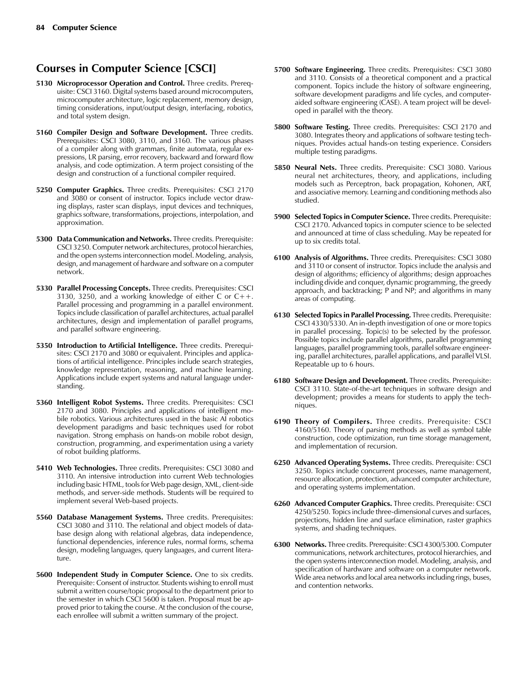## **Courses in Computer Science [CSCI]**

- **5130 Microprocessor Operation and Control.** Three credits. Prerequisite: CSCI 3160. Digital systems based around microcomputers, microcomputer architecture, logic replacement, memory design, timing considerations, input/output design, interfacing, robotics, and total system design.
- **5160 Compiler Design and Software Development.** Three credits. Prerequisites: CSCI 3080, 3110, and 3160. The various phases of a compiler along with grammars, finite automata, regular expressions, LR parsing, error recovery, backward and forward flow analysis, and code optimization. A term project consisting of the design and construction of a functional compiler required.
- **5250 Computer Graphics.** Three credits. Prerequisites: CSCI 2170 and 3080 or consent of instructor. Topics include vector drawing displays, raster scan displays, input devices and techniques, graphics software, transformations, projections, interpolation, and approximation.
- **5300 Data Communication and Networks.** Three credits. Prerequisite: CSCI 3250. Computer network architectures, protocol hierarchies, and the open systems interconnection model. Modeling, analysis, design, and management of hardware and software on a computer network.
- **5330 Parallel Processing Concepts.** Three credits. Prerequisites: CSCI 3130, 3250, and a working knowledge of either C or C++. Parallel processing and programming in a parallel environment. Topics include classification of parallel architectures, actual parallel architectures, design and implementation of parallel programs, and parallel software engineering.
- **5350 Introduction to Artificial Intelligence.** Three credits. Prerequisites: CSCI 2170 and 3080 or equivalent. Principles and applications of artificial intelligence. Principles include search strategies, knowledge representation, reasoning, and machine learning. Applications include expert systems and natural language understanding.
- **5360 Intelligent Robot Systems.** Three credits. Prerequisites: CSCI 2170 and 3080. Principles and applications of intelligent mobile robotics. Various architectures used in the basic AI robotics development paradigms and basic techniques used for robot navigation. Strong emphasis on hands-on mobile robot design, construction, programming, and experimentation using a variety of robot building platforms.
- **5410 Web Technologies.** Three credits. Prerequisites: CSCI 3080 and 3110. An intensive introduction into current Web technologies including basic HTML, tools for Web page design, XML, client-side methods, and server-side methods. Students will be required to implement several Web-based projects.
- **5560 Database Management Systems.** Three credits. Prerequisites: CSCI 3080 and 3110. The relational and object models of database design along with relational algebras, data independence, functional dependencies, inference rules, normal forms, schema design, modeling languages, query languages, and current literature.
- **5600 Independent Study in Computer Science.** One to six credits. Prerequisite: Consent of instructor. Students wishing to enroll must submit a written course/topic proposal to the department prior to the semester in which CSCI 5600 is taken. Proposal must be approved prior to taking the course. At the conclusion of the course, each enrollee will submit a written summary of the project.
- **5700 Software Engineering.** Three credits. Prerequisites: CSCI 3080 and 3110. Consists of a theoretical component and a practical component. Topics include the history of software engineering, software development paradigms and life cycles, and computeraided software engineering (CASE). A team project will be developed in parallel with the theory.
- **5800 Software Testing.** Three credits. Prerequisites: CSCI 2170 and 3080. Integrates theory and applications of software testing techniques. Provides actual hands-on testing experience. Considers multiple testing paradigms.
- **5850 Neural Nets.** Three credits. Prerequisite: CSCI 3080. Various neural net architectures, theory, and applications, including models such as Perceptron, back propagation, Kohonen, ART, and associative memory. Learning and conditioning methods also studied.
- **5900 Selected Topics in Computer Science.** Three credits. Prerequisite: CSCI 2170. Advanced topics in computer science to be selected and announced at time of class scheduling. May be repeated for up to six credits total.
- **6100 Analysis of Algorithms.** Three credits. Prerequisites: CSCI 3080 and 3110 or consent of instructor. Topics include the analysis and design of algorithms; efficiency of algorithms; design approaches including divide and conquer, dynamic programming, the greedy approach, and backtracking; P and NP; and algorithms in many areas of computing.
- **6130 Selected Topics in Parallel Processing.** Three credits. Prerequisite: CSCI 4330/5330. An in-depth investigation of one or more topics in parallel processing. Topic(s) to be selected by the professor. Possible topics include parallel algorithms, parallel programming languages, parallel programming tools, parallel software engineering, parallel architectures, parallel applications, and parallel VLSI. Repeatable up to 6 hours.
- **6180 Software Design and Development.** Three credits. Prerequisite: CSCI 3110. State-of-the-art techniques in software design and development; provides a means for students to apply the techniques.
- **6190 Theory of Compilers.** Three credits. Prerequisite: CSCI 4160/5160. Theory of parsing methods as well as symbol table construction, code optimization, run time storage management, and implementation of recursion.
- **6250 Advanced Operating Systems.** Three credits. Prerequisite: CSCI 3250. Topics include concurrent processes, name management, resource allocation, protection, advanced computer architecture, and operating systems implementation.
- **6260 Advanced Computer Graphics.** Three credits. Prerequisite: CSCI 4250/5250. Topics include three-dimensional curves and surfaces, projections, hidden line and surface elimination, raster graphics systems, and shading techniques.
- **6300 Networks.** Three credits. Prerequisite: CSCI 4300/5300. Computer communications, network architectures, protocol hierarchies, and the open systems interconnection model. Modeling, analysis, and specification of hardware and software on a computer network. Wide area networks and local area networks including rings, buses, and contention networks.